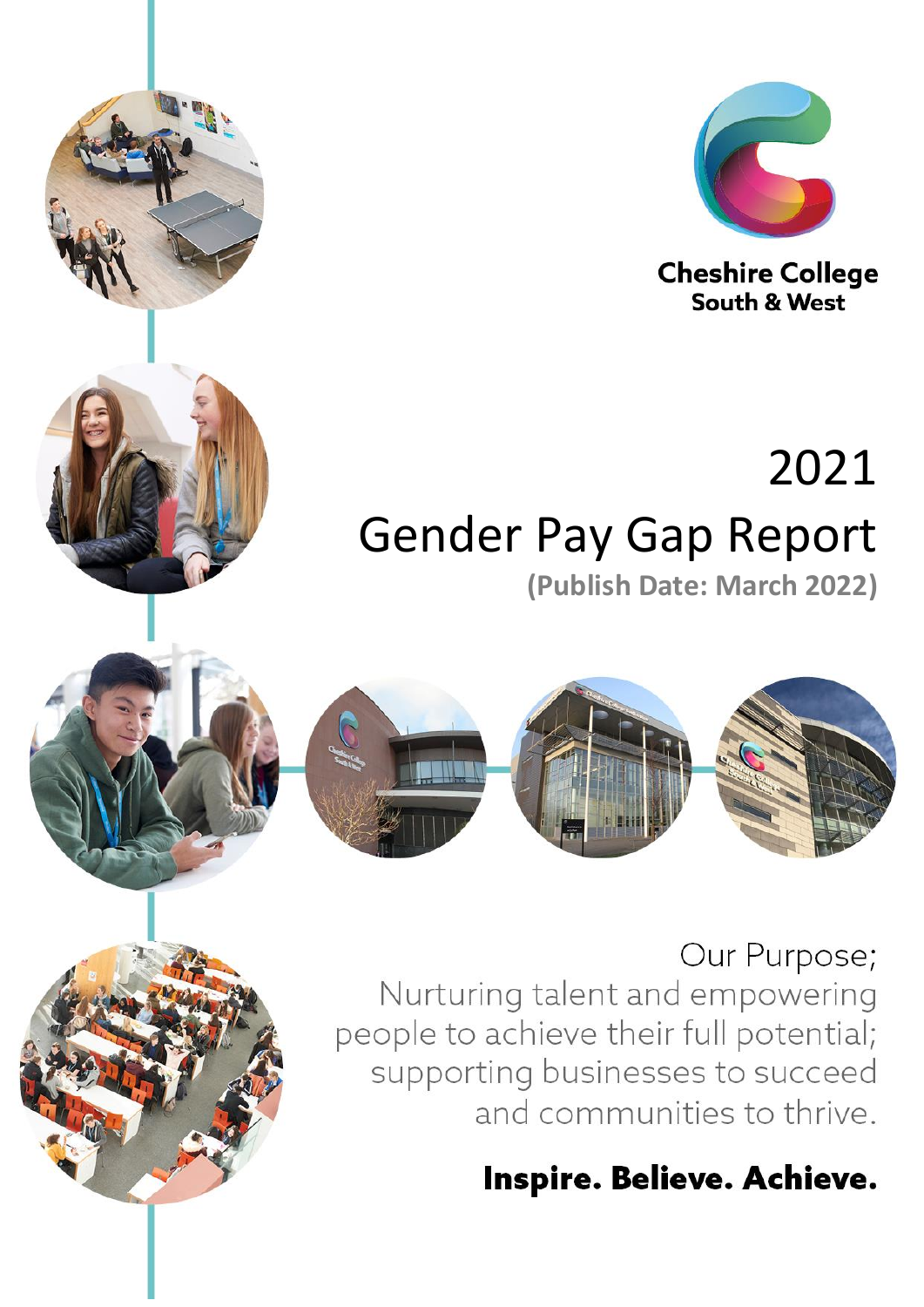





South & West

# 2021 **Gender Pay Gap Report** (Publish Date: March 2022)



### Our Purpose;

Nurturing talent and empowering people to achieve their full potential; supporting businesses to succeed and communities to thrive.

## Inspire. Believe. Achieve.

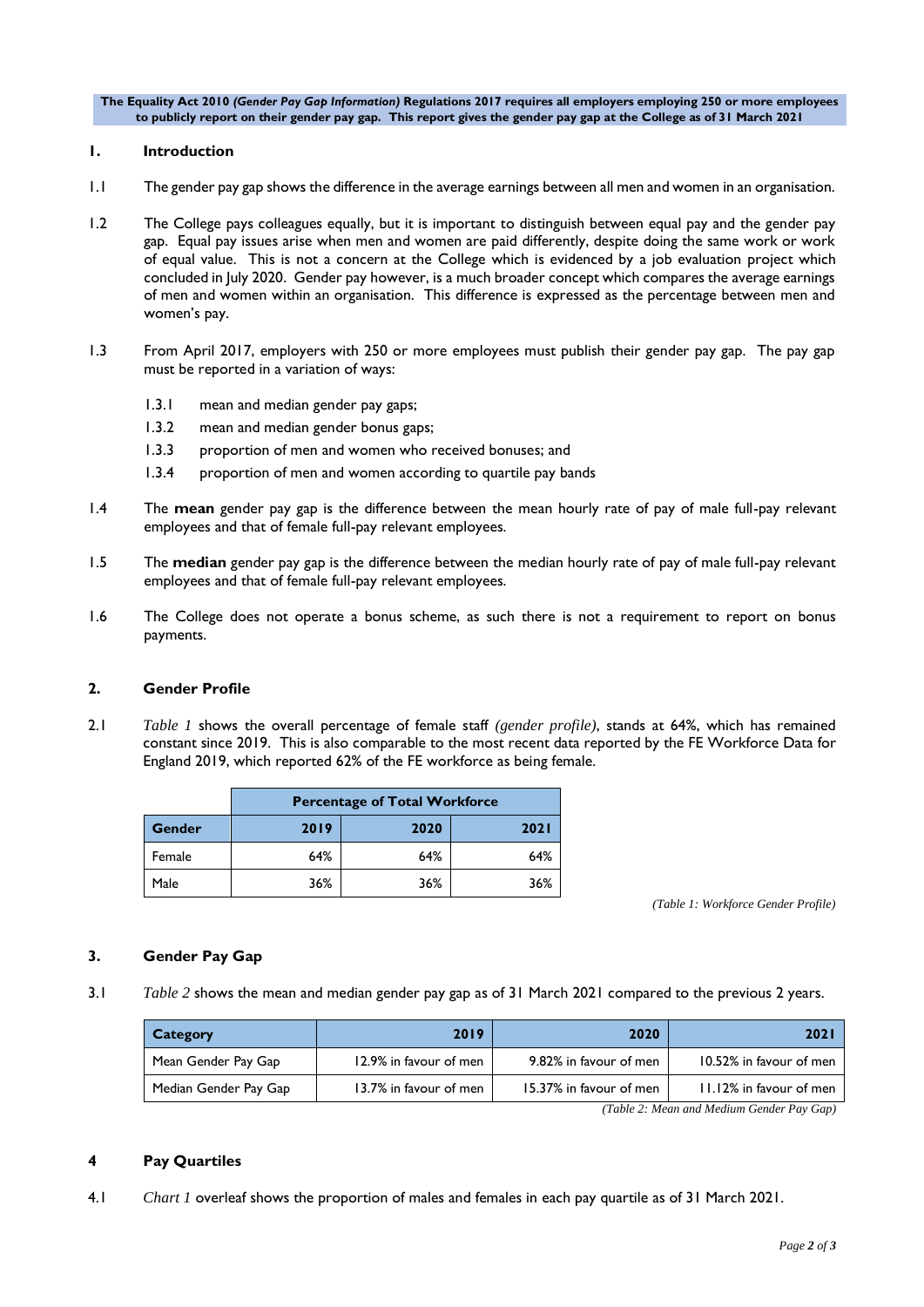**The Equality Act 2010** *(Gender Pay Gap Information)* **Regulations 2017 requires all employers employing 250 or more employees to publicly report on their gender pay gap. This report gives the gender pay gap at the College as of 31 March 2021**

#### **1. Introduction**

- 1.1 The gender pay gap shows the difference in the average earnings between all men and women in an organisation.
- 1.2 The College pays colleagues equally, but it is important to distinguish between equal pay and the gender pay gap. Equal pay issues arise when men and women are paid differently, despite doing the same work or work of equal value. This is not a concern at the College which is evidenced by a job evaluation project which concluded in July 2020. Gender pay however, is a much broader concept which compares the average earnings of men and women within an organisation. This difference is expressed as the percentage between men and women's pay.
- 1.3 From April 2017, employers with 250 or more employees must publish their gender pay gap. The pay gap must be reported in a variation of ways:
	- 1.3.1 mean and median gender pay gaps;
	- 1.3.2 mean and median gender bonus gaps;
	- 1.3.3 proportion of men and women who received bonuses; and
	- 1.3.4 proportion of men and women according to quartile pay bands
- 1.4 The **mean** gender pay gap is the difference between the mean hourly rate of pay of male full-pay relevant employees and that of female full-pay relevant employees.
- 1.5 The **median** gender pay gap is the difference between the median hourly rate of pay of male full-pay relevant employees and that of female full-pay relevant employees.
- 1.6 The College does not operate a bonus scheme, as such there is not a requirement to report on bonus payments.

#### **2. Gender Profile**

2.1 *Table 1* shows the overall percentage of female staff *(gender profile)*, stands at 64%, which has remained constant since 2019. This is also comparable to the most recent data reported by the FE Workforce Data for England 2019, which reported 62% of the FE workforce as being female.

|        | <b>Percentage of Total Workforce</b> |      |             |
|--------|--------------------------------------|------|-------------|
| Gender | 2019                                 | 2020 | <b>2021</b> |
| Female | 64%                                  | 64%  | 64%         |
| Male   | 36%                                  | 36%  | 36%         |

*(Table 1: Workforce Gender Profile)*

#### **3. Gender Pay Gap**

3.1 *Table 2* shows the mean and median gender pay gap as of 31 March 2021 compared to the previous 2 years.

| Category              | 2019                   | 2020                    | 202                     |
|-----------------------|------------------------|-------------------------|-------------------------|
| Mean Gender Pay Gap   | 12.9% in favour of men | 9.82% in favour of men  | 10.52% in favour of men |
| Median Gender Pay Gap | 13.7% in favour of men | 15.37% in favour of men | 11.12% in favour of men |

*(Table 2: Mean and Medium Gender Pay Gap)*

#### **4 Pay Quartiles**

4.1 *Chart 1* overleaf shows the proportion of males and females in each pay quartile as of 31 March 2021.